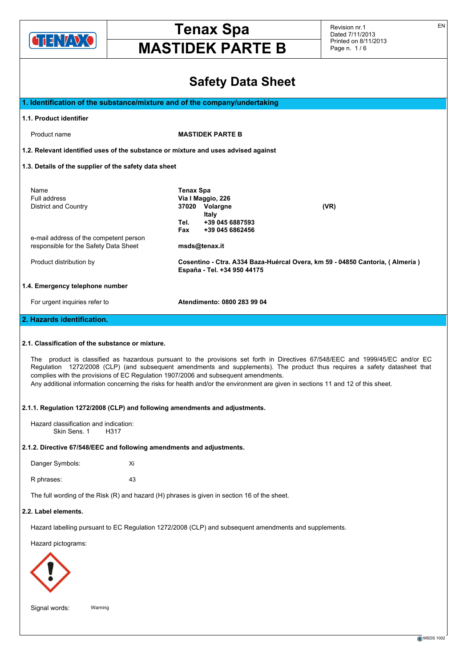

Revision nr.1 Dated 7/11/2013 Printed on 8/11/2013 Page n. 1 / 6

# **Safety Data Sheet**

|                                                                                                                                        | <b>Salety Data Sileet</b>                                                                                                                                                                                                                                                                                                                                                                      |
|----------------------------------------------------------------------------------------------------------------------------------------|------------------------------------------------------------------------------------------------------------------------------------------------------------------------------------------------------------------------------------------------------------------------------------------------------------------------------------------------------------------------------------------------|
| 1. Identification of the substance/mixture and of the company/undertaking                                                              |                                                                                                                                                                                                                                                                                                                                                                                                |
| 1.1. Product identifier                                                                                                                |                                                                                                                                                                                                                                                                                                                                                                                                |
| Product name                                                                                                                           | <b>MASTIDEK PARTE B</b>                                                                                                                                                                                                                                                                                                                                                                        |
| 1.2. Relevant identified uses of the substance or mixture and uses advised against                                                     |                                                                                                                                                                                                                                                                                                                                                                                                |
| 1.3. Details of the supplier of the safety data sheet                                                                                  |                                                                                                                                                                                                                                                                                                                                                                                                |
| Name<br>Full address<br><b>District and Country</b>                                                                                    | <b>Tenax Spa</b><br>Via I Maggio, 226<br>37020 Volargne<br>(VR)<br><b>Italy</b><br>Tel.<br>+39 045 6887593<br>Fax<br>+39 045 6862456                                                                                                                                                                                                                                                           |
| e-mail address of the competent person<br>responsible for the Safety Data Sheet                                                        | msds@tenax.it                                                                                                                                                                                                                                                                                                                                                                                  |
| Product distribution by                                                                                                                | Cosentino - Ctra. A334 Baza-Huércal Overa, km 59 - 04850 Cantoria, (Almería)<br>España - Tel. +34 950 44175                                                                                                                                                                                                                                                                                    |
| 1.4. Emergency telephone number                                                                                                        |                                                                                                                                                                                                                                                                                                                                                                                                |
| For urgent inquiries refer to                                                                                                          | Atendimento: 0800 283 99 04                                                                                                                                                                                                                                                                                                                                                                    |
| 2. Hazards identification.                                                                                                             |                                                                                                                                                                                                                                                                                                                                                                                                |
| 2.1. Classification of the substance or mixture.<br>complies with the provisions of EC Regulation 1907/2006 and subsequent amendments. | The product is classified as hazardous pursuant to the provisions set forth in Directives 67/548/EEC and 1999/45/EC and/or EC<br>Regulation 1272/2008 (CLP) (and subsequent amendments and supplements). The product thus requires a safety datasheet that<br>Any additional information concerning the risks for health and/or the environment are given in sections 11 and 12 of this sheet. |
| 2.1.1. Regulation 1272/2008 (CLP) and following amendments and adjustments.                                                            |                                                                                                                                                                                                                                                                                                                                                                                                |
| Hazard classification and indication:<br>Skin Sens, 1<br>H317                                                                          |                                                                                                                                                                                                                                                                                                                                                                                                |
| 2.1.2. Directive 67/548/EEC and following amendments and adjustments.                                                                  |                                                                                                                                                                                                                                                                                                                                                                                                |
| Danger Symbols:<br>Xi                                                                                                                  |                                                                                                                                                                                                                                                                                                                                                                                                |
| 43<br>R phrases:                                                                                                                       |                                                                                                                                                                                                                                                                                                                                                                                                |
| The full wording of the Risk (R) and hazard (H) phrases is given in section 16 of the sheet.                                           |                                                                                                                                                                                                                                                                                                                                                                                                |
| 2.2. Label elements.                                                                                                                   |                                                                                                                                                                                                                                                                                                                                                                                                |
|                                                                                                                                        | Hazard labelling pursuant to EC Regulation 1272/2008 (CLP) and subsequent amendments and supplements.                                                                                                                                                                                                                                                                                          |
| Hazard pictograms:                                                                                                                     |                                                                                                                                                                                                                                                                                                                                                                                                |
|                                                                                                                                        |                                                                                                                                                                                                                                                                                                                                                                                                |
| Signal words:<br>Warning                                                                                                               |                                                                                                                                                                                                                                                                                                                                                                                                |

EN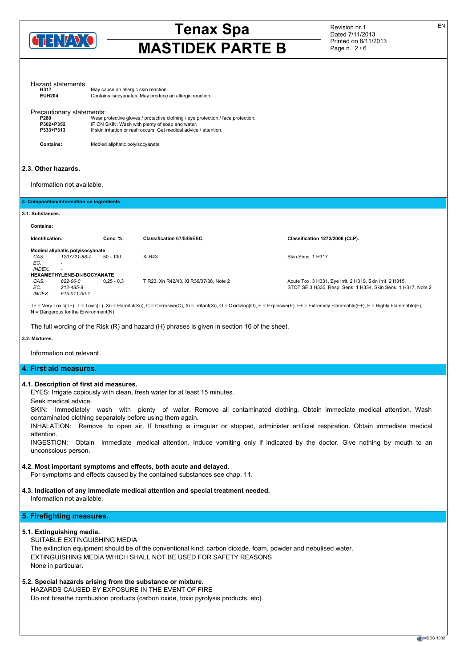

Revision nr.1 Dated 7/11/2013 Printed on 8/11/2013 Page n. 2 / 6

EN

| Hazard statements:<br><b>H317</b><br><b>EUH204</b>                                |                                       | May cause an allergic skin reaction. | Contains isocyanates. May produce an allergic reaction.                                                                                                                                                   |                                                                                                                                                                                      |
|-----------------------------------------------------------------------------------|---------------------------------------|--------------------------------------|-----------------------------------------------------------------------------------------------------------------------------------------------------------------------------------------------------------|--------------------------------------------------------------------------------------------------------------------------------------------------------------------------------------|
| Precautionary statements:<br>P280<br>P302+P352<br>P333+P313                       |                                       |                                      | Wear protective gloves / protective clothing / eye protection / face protection.<br>IF ON SKIN: Wash with plenty of soap and water.<br>If skin irritation or rash occurs: Get medical advice / attention. |                                                                                                                                                                                      |
| <b>Contains:</b>                                                                  |                                       | Modied aliphatic polyisocyanate      |                                                                                                                                                                                                           |                                                                                                                                                                                      |
| 2.3. Other hazards.<br>Information not available.                                 |                                       |                                      |                                                                                                                                                                                                           |                                                                                                                                                                                      |
| 3. Composition/information on ingredients.                                        |                                       |                                      |                                                                                                                                                                                                           |                                                                                                                                                                                      |
| 3.1. Substances.                                                                  |                                       |                                      |                                                                                                                                                                                                           |                                                                                                                                                                                      |
| <b>Contains:</b>                                                                  |                                       |                                      |                                                                                                                                                                                                           |                                                                                                                                                                                      |
| Identification.                                                                   |                                       | Conc. %.                             | Classification 67/548/EEC.                                                                                                                                                                                | Classification 1272/2008 (CLP).                                                                                                                                                      |
| Modied aliphatic polyisocyanate<br>CAS.<br>EC.<br>$\tilde{\phantom{a}}$<br>INDEX. | 1207721-88-7                          | $50 - 100$                           | Xi R43                                                                                                                                                                                                    | Skin Sens, 1 H317                                                                                                                                                                    |
| HEXAMETHYLENE-DI-ISOCYANATE<br>CAS.<br>EC.<br>INDEX.                              | 822-06-0<br>212-485-8<br>615-011-00-1 | $0.25 - 0.3$                         | T R23, Xn R42/43, Xi R36/37/38, Note 2                                                                                                                                                                    | Acute Tox. 3 H331, Eye Irrit. 2 H319, Skin Irrit. 2 H315,<br>STOT SE 3 H335, Resp. Sens. 1 H334, Skin Sens. 1 H317, Note 2                                                           |
| $N =$ Dangerous for the Environment(N)                                            |                                       |                                      | The full wording of the Risk $(R)$ and hazard $(H)$ phrases is given in section 16 of the sheet.                                                                                                          | T+ = Very Toxic(T+), T = Toxic(T), Xn = Harmful(Xn), C = Corrosive(C), Xi = Irritant(Xi), O = Oxidizing(O), E = Explosive(E), F+ = Extremely Flammable(F+), F = Highly Flammable(F), |

**3.2. Mixtures.**

Information not relevant.

### **4. First aid measures.**

### **4.1. Description of first aid measures.**

EYES: Irrigate copiously with clean, fresh water for at least 15 minutes.

Seek medical advice.

SKIN: Immediately wash with plenty of water. Remove all contaminated clothing. Obtain immediate medical attention. Wash contaminated clothing separately before using them again.

INHALATION: Remove to open air. If breathing is irregular or stopped, administer artificial respiration. Obtain immediate medical attention.

INGESTION: Obtain immediate medical attention. Induce vomiting only if indicated by the doctor. Give nothing by mouth to an unconscious person.

### **4.2. Most important symptoms and effects, both acute and delayed.**

For symptoms and effects caused by the contained substances see chap. 11.

## **4.3. Indication of any immediate medical attention and special treatment needed.**

Information not available.

# **5. Firefighting measures.**

## **5.1. Extinguishing media.**

SUITABLE EXTINGUISHING MEDIA

The extinction equipment should be of the conventional kind: carbon dioxide, foam, powder and nebulised water. EXTINGUISHING MEDIA WHICH SHALL NOT BE USED FOR SAFETY REASONS None in particular.

# **5.2. Special hazards arising from the substance or mixture.**

HAZARDS CAUSED BY EXPOSURE IN THE EVENT OF FIRE Do not breathe combustion products (carbon oxide, toxic pyrolysis products, etc).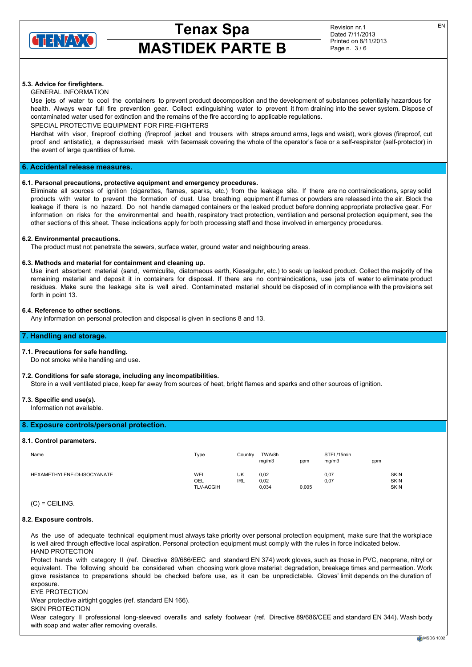

Revision nr.1 Dated 7/11/2013 Printed on 8/11/2013 Page n. 3 / 6

# **5.3. Advice for firefighters.**

## GENERAL INFORMATION

Use jets of water to cool the containers to prevent product decomposition and the development of substances potentially hazardous for health. Always wear full fire prevention gear. Collect extinguishing water to prevent it from draining into the sewer system. Dispose of contaminated water used for extinction and the remains of the fire according to applicable regulations.

SPECIAL PROTECTIVE EQUIPMENT FOR FIRE-FIGHTERS

Hardhat with visor, fireproof clothing (fireproof jacket and trousers with straps around arms, legs and waist), work gloves (fireproof, cut proof and antistatic), a depressurised mask with facemask covering the whole of the operator's face or a self-respirator (self-protector) in the event of large quantities of fume.

# **6. Accidental release measures.**

### **6.1. Personal precautions, protective equipment and emergency procedures.**

Eliminate all sources of ignition (cigarettes, flames, sparks, etc.) from the leakage site. If there are no contraindications, spray solid products with water to prevent the formation of dust. Use breathing equipment if fumes or powders are released into the air. Block the leakage if there is no hazard. Do not handle damaged containers or the leaked product before donning appropriate protective gear. For information on risks for the environmental and health, respiratory tract protection, ventilation and personal protection equipment, see the other sections of this sheet. These indications apply for both processing staff and those involved in emergency procedures.

### **6.2. Environmental precautions.**

The product must not penetrate the sewers, surface water, ground water and neighbouring areas.

### **6.3. Methods and material for containment and cleaning up.**

Use inert absorbent material (sand, vermiculite, diatomeous earth, Kieselguhr, etc.) to soak up leaked product. Collect the majority of the remaining material and deposit it in containers for disposal. If there are no contraindications, use jets of water to eliminate product residues. Make sure the leakage site is well aired. Contaminated material should be disposed of in compliance with the provisions set forth in point 13.

### **6.4. Reference to other sections.**

Any information on personal protection and disposal is given in sections 8 and 13.

### **7. Handling and storage.**

### **7.1. Precautions for safe handling.**

Do not smoke while handling and use.

### **7.2. Conditions for safe storage, including any incompatibilities.**

Store in a well ventilated place, keep far away from sources of heat, bright flames and sparks and other sources of ignition.

## **7.3. Specific end use(s).**

Information not available.

# **8. Exposure controls/personal protection.**

### **8.1. Control parameters.**

| Name                        | Type                           | Country   | TWA/8h<br>mg/m3       | ppm   | STEL/15min<br>mq/m3 | ppm |                                           |
|-----------------------------|--------------------------------|-----------|-----------------------|-------|---------------------|-----|-------------------------------------------|
| HEXAMETHYLENE-DI-ISOCYANATE | WEL<br>OEL<br><b>TLV-ACGIH</b> | UK<br>IRL | 0,02<br>0,02<br>0,034 | 0,005 | 0,07<br>0,07        |     | <b>SKIN</b><br><b>SKIN</b><br><b>SKIN</b> |

 $(C) = CEILING.$ 

### **8.2. Exposure controls.**

As the use of adequate technical equipment must always take priority over personal protection equipment, make sure that the workplace is well aired through effective local aspiration. Personal protection equipment must comply with the rules in force indicated below. HAND PROTECTION

Protect hands with category II (ref. Directive 89/686/EEC and standard EN 374) work gloves, such as those in PVC, neoprene, nitryl or equivalent. The following should be considered when choosing work glove material: degradation, breakage times and permeation. Work glove resistance to preparations should be checked before use, as it can be unpredictable. Gloves' limit depends on the duration of exposure.

### EYE PROTECTION

Wear protective airtight goggles (ref. standard EN 166).

SKIN PROTECTION

Wear category II professional long-sleeved overalls and safety footwear (ref. Directive 89/686/CEE and standard EN 344). Wash body with soap and water after removing overalls.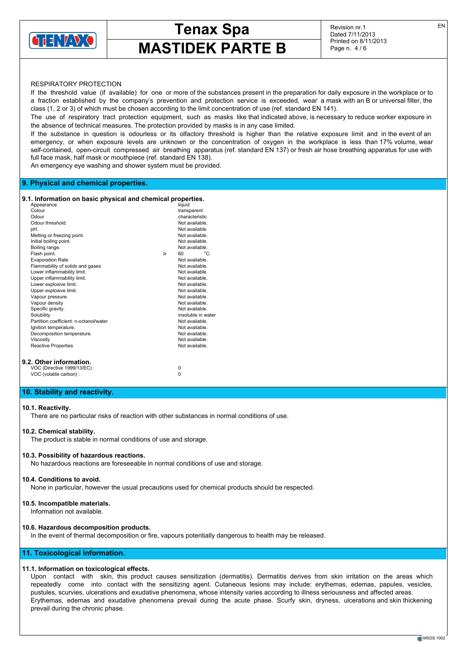

Revision nr.1 Dated 7/11/2013 Printed on 8/11/2013 Page n. 4 / 6

# RESPIRATORY PROTECTION

If the threshold value (if available) for one or more of the substances present in the preparation for daily exposure in the workplace or to a fraction established by the company's prevention and protection service is exceeded, wear a mask with an B or universal filter, the class (1, 2 or 3) of which must be chosen according to the limit concentration of use (ref. standard EN 141).

The use of respiratory tract protection equipment, such as masks like that indicated above, is necessary to reduce worker exposure in the absence of technical measures. The protection provided by masks is in any case limited.

If the substance in question is odourless or its olfactory threshold is higher than the relative exposure limit and in the event of an emergency, or when exposure levels are unknown or the concentration of oxygen in the workplace is less than 17% volume, wear self-contained, open-circuit compressed air breathing apparatus (ref. standard EN 137) or fresh air hose breathing apparatus for use with full face mask, half mask or mouthpiece (ref. standard EN 138).

An emergency eye washing and shower system must be provided.

# **9. Physical and chemical properties.**

## **9.1. Information on basic physical and chemical properties.**

|        | Appearance                             |   | liquid             |
|--------|----------------------------------------|---|--------------------|
| Colour |                                        |   | transparent        |
| Odour  |                                        |   | characteristic     |
|        | Odour threshold.                       |   | Not available.     |
| pH.    |                                        |   | Not available.     |
|        | Melting or freezing point.             |   | Not available.     |
|        | Initial boiling point.                 |   | Not available.     |
|        | Boiling range.                         |   | Not available.     |
|        | Flash point.                           | > | °C.<br>60          |
|        | <b>Evaporation Rate</b>                |   | Not available.     |
|        | Flammability of solids and gases       |   | Not available.     |
|        | Lower inflammability limit.            |   | Not available.     |
|        | Upper inflammability limit.            |   | Not available.     |
|        | Lower explosive limit.                 |   | Not available.     |
|        | Upper explosive limit.                 |   | Not available.     |
|        | Vapour pressure.                       |   | Not available.     |
|        | Vapour density                         |   | Not available.     |
|        | Specific gravity.                      |   | Not available.     |
|        | Solubility                             |   | insoluble in water |
|        | Partition coefficient: n-octanol/water |   | Not available.     |
|        | Ignition temperature.                  |   | Not available.     |
|        | Decomposition temperature.             |   | Not available.     |
|        | Viscosity                              |   | Not available.     |
|        | <b>Reactive Properties</b>             |   | Not available.     |
|        | 9.2. Other information.                |   |                    |
|        | VOC (Directive 1999/13/EC) :           |   | $\Omega$           |

VOC (volatile carbon) : 0

# **10. Stability and reactivity.**

# **10.1. Reactivity.**

There are no particular risks of reaction with other substances in normal conditions of use.

# **10.2. Chemical stability.**

The product is stable in normal conditions of use and storage.

# **10.3. Possibility of hazardous reactions.**

No hazardous reactions are foreseeable in normal conditions of use and storage.

# **10.4. Conditions to avoid.**

None in particular, however the usual precautions used for chemical products should be respected.

# **10.5. Incompatible materials.**

Information not available.

# **10.6. Hazardous decomposition products.**

In the event of thermal decomposition or fire, vapours potentially dangerous to health may be released.

# **11. Toxicological information.**

# **11.1. Information on toxicological effects.**

Upon contact with skin, this product causes sensitization (dermatitis). Dermatitis derives from skin irritation on the areas which repeatedly come into contact with the sensitizing agent. Cutaneous lesions may include: erythemas, edemas, papules, vesicles, pustules, scurvies, ulcerations and exudative phenomena, whose intensity varies according to illness seriousness and affected areas. Erythemas, edemas and exudative phenomena prevail during the acute phase. Scurfy skin, dryness, ulcerations and skin thickening prevail during the chronic phase.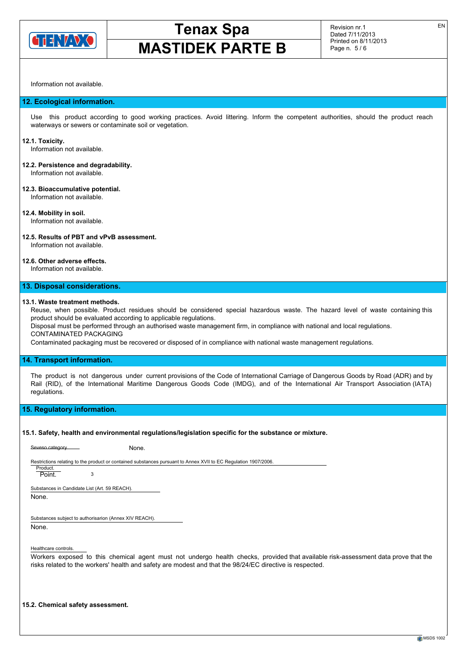

Information not available.

### **12. Ecological information.**

Use this product according to good working practices. Avoid littering. Inform the competent authorities, should the product reach waterways or sewers or contaminate soil or vegetation.

### **12.1. Toxicity.**

Information not available.

# **12.2. Persistence and degradability.**

Information not available.

### **12.3. Bioaccumulative potential.** Information not available.

**12.4. Mobility in soil.** Information not available.

### **12.5. Results of PBT and vPvB assessment.** Information not available.

# **12.6. Other adverse effects.**

Information not available.

### **13. Disposal considerations.**

## **13.1. Waste treatment methods.**

Reuse, when possible. Product residues should be considered special hazardous waste. The hazard level of waste containing this product should be evaluated according to applicable regulations.

Disposal must be performed through an authorised waste management firm, in compliance with national and local regulations. CONTAMINATED PACKAGING

Contaminated packaging must be recovered or disposed of in compliance with national waste management regulations.

## **14. Transport information.**

The product is not dangerous under current provisions of the Code of International Carriage of Dangerous Goods by Road (ADR) and by Rail (RID), of the International Maritime Dangerous Goods Code (IMDG), and of the International Air Transport Association (IATA) regulations.

### **15. Regulatory information.**

### **15.1. Safety, health and environmental regulations/legislation specific for the substance or mixture.**

| Seveso category.                                                                                                |   | None. |  |  |  |
|-----------------------------------------------------------------------------------------------------------------|---|-------|--|--|--|
| Restrictions relating to the product or contained substances pursuant to Annex XVII to EC Regulation 1907/2006. |   |       |  |  |  |
| Product.<br>Point.                                                                                              | 3 |       |  |  |  |
| Substances in Candidate List (Art. 59 REACH).                                                                   |   |       |  |  |  |
| None.                                                                                                           |   |       |  |  |  |
| Substances subject to authorisarion (Annex XIV REACH).                                                          |   |       |  |  |  |
| None.                                                                                                           |   |       |  |  |  |
|                                                                                                                 |   |       |  |  |  |
| Healthcare controls.                                                                                            |   |       |  |  |  |

Workers exposed to this chemical agent must not undergo health checks, provided that available risk-assessment data prove that the risks related to the workers' health and safety are modest and that the 98/24/EC directive is respected.

**15.2. Chemical safety assessment.**